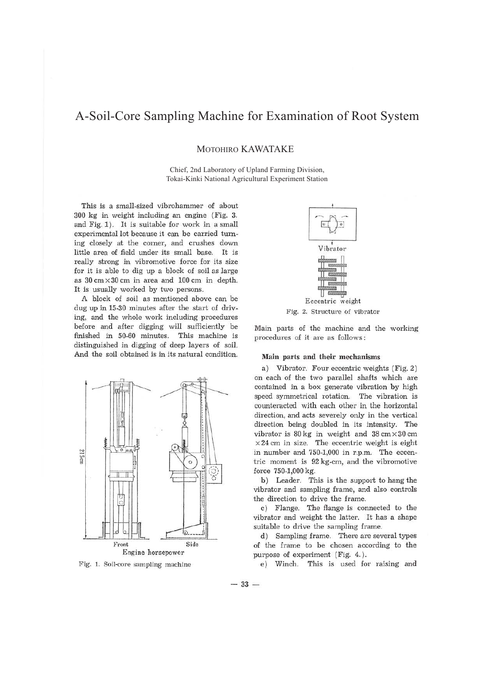## A-Soil-Core Sampling Machine for Examination of Root System

MOTOHIRO KAWATAKE

Chief, 2nd Laboratory of Upland Farming Division, Tokai-Kinki National Agricultural Experiment Station

This is a small-sized vibrohammer of about 300 kg in weight including an engine (Fig. 3. and Fig. 1). It is suitable for work in a small experimental lot because it can be carried turning closely at the comer, and crushes down little area of field under its small base. It is really strong in vibromotive force for its size for it is able to dig up a block of soil as large as  $30 \text{ cm} \times 30 \text{ cm}$  in area and  $100 \text{ cm}$  in depth. It is usually worked by two persons.

A block of soil as mentioned above can be dug up in 15-30 minutes after the start of driving, and the whole work including procedures before and after digging will sufficiently be finished in 50-60 minutes. This machine is distinguished in digging of deep layers of soil. And the soil obtained is in its natural condition.



Fig. 1. Soil-core sampling machine



Fig. 2. Structure of vibrator

Main parts of the machine and the working procedures of it are as follows:

## **Main parts and their mechanisms**

a) Vibrator. Four eccentric weights (Fig. 2) on each of the two parallel shafts which are contained in a box generate vibration by high speed symmetrical rotation. The vibration is counteracted with each other in the horizontal direction, and acts severely only in the vertical direction being doubled in its intensity. The vibrator is  $80 \text{ kg}$  in weight and  $38 \text{ cm} \times 30 \text{ cm}$  $\times$  24 cm in size. The eccentric weight is eight in number and 750-1,000 in r.p.m. The eccentric moment is 92 kg-cm, and the vibromotive force 750-1,000 kg.

b) Leader. This is the support to hang the vibrator and sampling frame, and also controls the direction to drive the frame.

c) Flange. The flange is connected to the vibrator and weight the latter. It has a shape suitable to drive the sampling frame.

d) Sampling frame. There are several types of the frame to be chosen according to the purpose of experiment (Fig. 4.).

e) Winch. This is used for raising and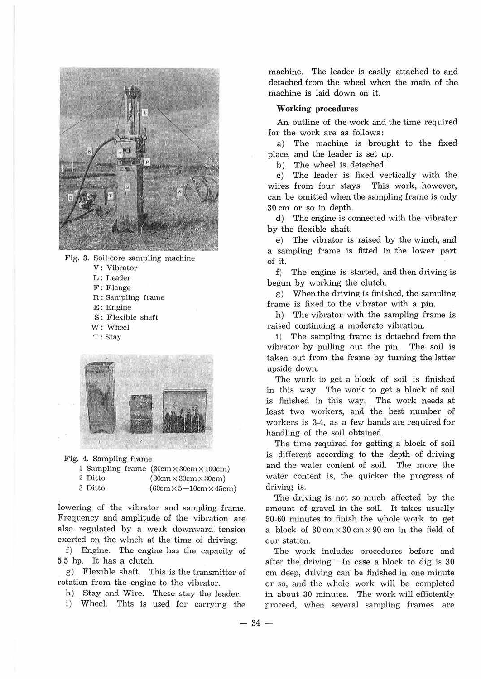

Fig. 3. Soil-core sampling machine V: Vibrator L : Leader F: Flange R: Sampling frame E : Engine *S :* Flexible shaft W: Wheel T : Stay



Fig. 4. Sampling frame

|         |  | 1 Sampling frame (30cm×30cm×100cm)   |
|---------|--|--------------------------------------|
| 2 Ditto |  | $(30cm \times 30cm \times 30cm)$     |
| 3 Ditto |  | $(60cm \times 5 - 10cm \times 45cm)$ |

lowering of the vibrator and sampling frame. Frequency and amplitude of the vibration are also regulated by a weak downward. tension exerted on the winch at the time of driving.

f ) Engine. The engine has the capacity of 5.5 hp. It has a clutch.

g) Flexible shaft. This is the transmitter of rotation from the engine to the vibrator.

h) Stay and Wire. These stay the leader.

i) Wheel. This is used for carrying the

machine. The leader is easily attached to and detached from the wheel when the main of the machine is laid down on it.

## **VVorking procedures**

An outline of the work and the time required for the work are as follows *:* 

a) The machine is brought to the fixed place, and the leader is set up.

b) The wheel is detached.

c) The leader is fixed vertically with the wires from four stays. This work, however, can be omitted when the sampling frame is only 30 cm or so in depth.

d) The engine is connected with the vibrator by the flexible shaft.

e) The vibrator is raised by the winch, and a sampling frame is fitted in the lower part of it.

f) The engine is started, and then driving is begun by working the clutch.

g) When the driving is finished, the sampling frame is fixed to the vibrator with a pin.

h) The vibrator with the sampling frame is raised continuing a moderate vibration.

i) The sampling frame is detached from the vibrator by pulling out the pin. The soil is taken out.from the frame by tuming the latter upside down.

The work to get a block of soil is finished in this way. The work to get a block of soil is finished in this way. The work needs at least two workers, and the best number of workers is 3-4, as a few hands are required for handling of the soil obtained.

The time required for getting a block of soil is different according to the depth of driving and the water content of soil. The more the water content is, the quicker the progress of driving is.

The driving is not so much affected by the amount of gravel in the soil. It takes usually 50-60 minutes to finish the whole work to get a block of  $30 \text{ cm} \times 30 \text{ cm} \times 90 \text{ cm}$  in the field of our station.

The work includes procedures before and after the driving. In case a block to dig is 30 cm deep, driving can be finished in one minute or so, and the whole work will be completed in about 30 minutes. The work will efficiently proceed, when several sampling frames are